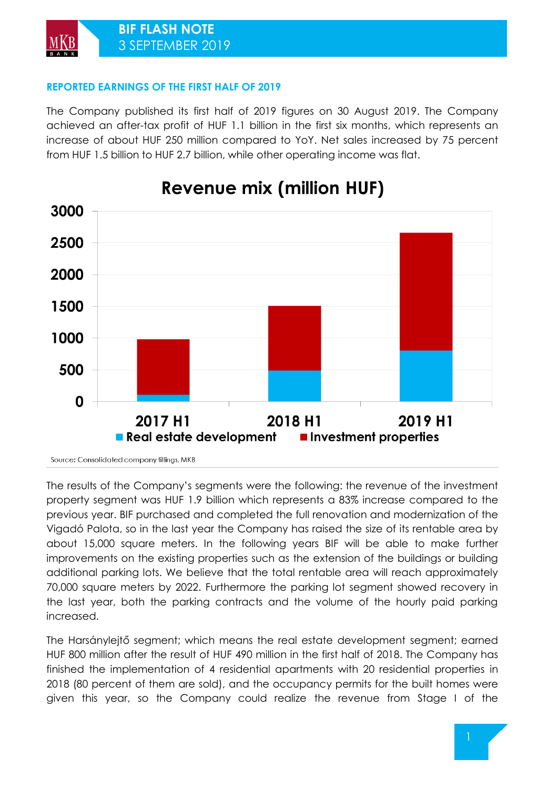### **REPORTED EARNINGS OF THE FIRST HALF OF 2019**

The Company published its first half of 2019 figures on 30 August 2019. The Company achieved an after-tax profit of HUF 1.1 billion in the first six months, which represents an increase of about HUF 250 million compared to YoY. Net sales increased by 75 percent from HUF 1.5 billion to HUF 2.7 billion, while other operating income was flat.



# **Revenue mix (million HUF)**

Source: Consolidated company fillings, MKB

The results of the Company's segments were the following: the revenue of the investment property segment was HUF 1.9 billion which represents a 83% increase compared to the previous year. BIF purchased and completed the full renovation and modernization of the Vigadó Palota, so in the last year the Company has raised the size of its rentable area by about 15,000 square meters. In the following years BIF will be able to make further improvements on the existing properties such as the extension of the buildings or building additional parking lots. We believe that the total rentable area will reach approximately 70,000 square meters by 2022. Furthermore the parking lot segment showed recovery in the last year, both the parking contracts and the volume of the hourly paid parking increased.

The Harsánylejtő segment; which means the real estate development segment; earned HUF 800 million after the result of HUF 490 million in the first half of 2018. The Company has finished the implementation of 4 residential apartments with 20 residential properties in 2018 (80 percent of them are sold), and the occupancy permits for the built homes were given this year, so the Company could realize the revenue from Stage I of the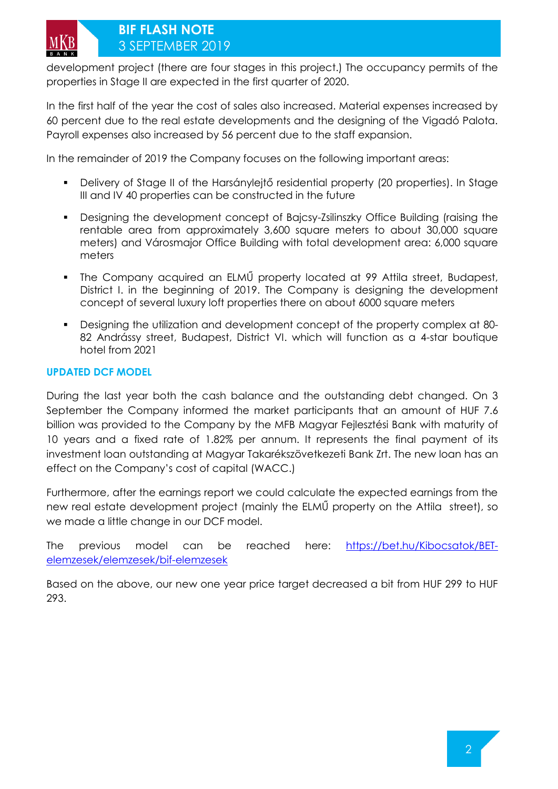### **BIF FLASH NOTE**  3 SEPTEMBER 2019

development project (there are four stages in this project.) The occupancy permits of the properties in Stage II are expected in the first quarter of 2020.

In the first half of the year the cost of sales also increased. Material expenses increased by 60 percent due to the real estate developments and the designing of the Vigadó Palota. Payroll expenses also increased by 56 percent due to the staff expansion.

In the remainder of 2019 the Company focuses on the following important areas:

- Delivery of Stage II of the Harsánylejtő residential property (20 properties). In Stage III and IV 40 properties can be constructed in the future
- Designing the development concept of Bajcsy-Zsilinszky Office Building (raising the rentable area from approximately 3,600 square meters to about 30,000 square meters) and Városmajor Office Building with total development area: 6,000 square meters
- The Company acquired an ELMŰ property located at 99 Attila street, Budapest, District I. in the beginning of 2019. The Company is designing the development concept of several luxury loft properties there on about 6000 square meters
- Designing the utilization and development concept of the property complex at 80- 82 Andrássy street, Budapest, District VI. which will function as a 4-star boutique hotel from 2021

### **UPDATED DCF MODEL**

During the last year both the cash balance and the outstanding debt changed. On 3 September the Company informed the market participants that an amount of HUF 7.6 billion was provided to the Company by the MFB Magyar Fejlesztési Bank with maturity of 10 years and a fixed rate of 1.82% per annum. It represents the final payment of its investment loan outstanding at Magyar Takarékszövetkezeti Bank Zrt. The new loan has an effect on the Company's cost of capital (WACC.)

Furthermore, after the earnings report we could calculate the expected earnings from the new real estate development project (mainly the ELMŰ property on the Attila street), so we made a little change in our DCF model.

The previous model can be reached here: [https://bet.hu/Kibocsatok/BET](https://bet.hu/Kibocsatok/BET-elemzesek/elemzesek/bif-elemzesek)[elemzesek/elemzesek/bif-elemzesek](https://bet.hu/Kibocsatok/BET-elemzesek/elemzesek/bif-elemzesek)

Based on the above, our new one year price target decreased a bit from HUF 299 to HUF 293.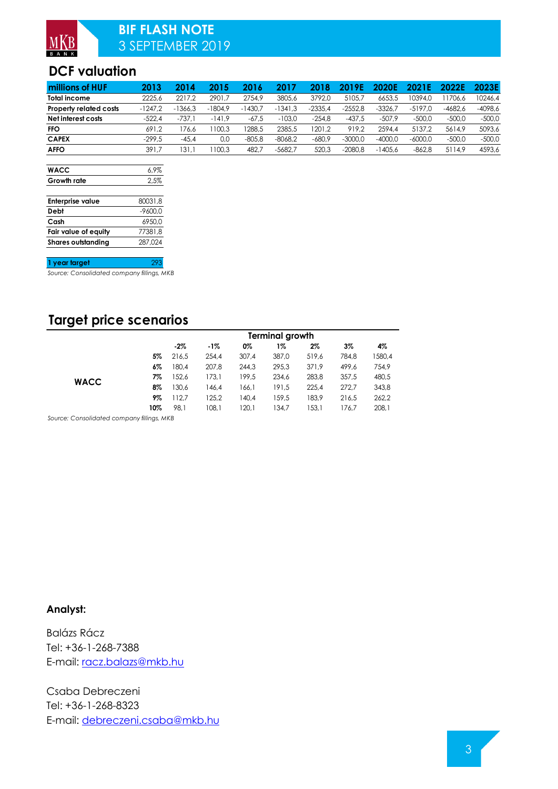## **BIF FLASH NOTE**  3 SEPTEMBER 2019

# **DCF valuation**

| millions of HUF        | 2013      | 2014      | 2015      | 2016     | 2017      | 2018      | 2019F     | 2020E     | 2021 F    | 2022F     | 2023E     |
|------------------------|-----------|-----------|-----------|----------|-----------|-----------|-----------|-----------|-----------|-----------|-----------|
| <b>Total income</b>    | 2225.6    | 2217.2    | 2901.7    | 2754.9   | 3805.6    | 3792.0    | 5105.7    | 6653.5    | 0394.0    | 1706.6    | 10246.4   |
| Property related costs | $-1247.2$ | $-1366.3$ | $-1804.9$ | 430.7    | $-1341.3$ | $-2335.4$ | $-2552.8$ | $-3326.7$ | $-5197.0$ | $-4682.6$ | $-4098.6$ |
| Net interest costs     | $-522.4$  | $-737.$   | $-141.9$  | $-67.5$  | $-103.0$  | $-254.8$  | $-437.5$  | $-507.9$  | -500,0    | -500.0    | $-500.0$  |
| <b>FFO</b>             | 691.2     | 76.6      | 100.3     | 288.5    | 2385.5    | 1201.2    | 919.2     | 2594.4    | 5137.2    | 5614.9    | 5093.6    |
| <b>CAPEX</b>           | $-299.5$  | $-45.4$   | 0.0       | $-805.8$ | $-8068.2$ | $-680.9$  | $-3000.0$ | $-4000.0$ | $-6000.0$ | $-500.0$  | $-500.0$  |
| <b>AFFO</b>            | 391.7     | 131.      | 100.3     | 482.7    | $-5682.7$ | 520.3     | $-2080.8$ | $-1405.6$ | -862.8    | 5114.9    | 4593.6    |

| <b>WACC</b>               | $6.9\%$   |
|---------------------------|-----------|
| Growth rate               | 2.5%      |
|                           |           |
| <b>Enterprise value</b>   | 80031.8   |
| Debt                      | $-9600.0$ |
| Cash                      | 6950.0    |
| Fair value of equity      | 77381.8   |
| <b>Shares outstandina</b> | 287.024   |

#### **1 year target** 293

*Source: Consolidated company fillings, MKB*

# **Target price scenarios**

|             |     | Terminal growth |       |       |       |       |       |        |  |  |
|-------------|-----|-----------------|-------|-------|-------|-------|-------|--------|--|--|
|             |     | $-2\%$          | $-1%$ | 0%    | 1%    | $2\%$ | 3%    | 4%     |  |  |
|             | 5%  | 216.5           | 254,4 | 307.4 | 387,0 | 519,6 | 784.8 | 1580,4 |  |  |
|             | 6%  | 180.4           | 207,8 | 244.3 | 295.3 | 371.9 | 499.6 | 754,9  |  |  |
| <b>WACC</b> | 7%  | 152.6           | 173.1 | 199.5 | 234.6 | 283.8 | 357.5 | 480,5  |  |  |
|             | 8%  | 130,6           | 146,4 | 166.1 | 191,5 | 225.4 | 272.7 | 343,8  |  |  |
|             | 9%  | 112,7           | 125.2 | 140.4 | 159,5 | 183.9 | 216,5 | 262,2  |  |  |
|             | 10% | 98.1            | 108.1 | 120.1 | 134,7 | 153.1 | 176.7 | 208,1  |  |  |

*Source: Consolidated company fillings, MKB*

#### **Analyst:**

Balázs Rácz Tel: +36-1-268-7388 E-mail: [racz.balazs@mkb.hu](mailto:racz.balazs@mkb.hu)

Csaba Debreczeni Tel: +36-1-268-8323 E-mail: [debreczeni.csaba@mkb.hu](mailto:debreczeni.csaba@mkb.hu)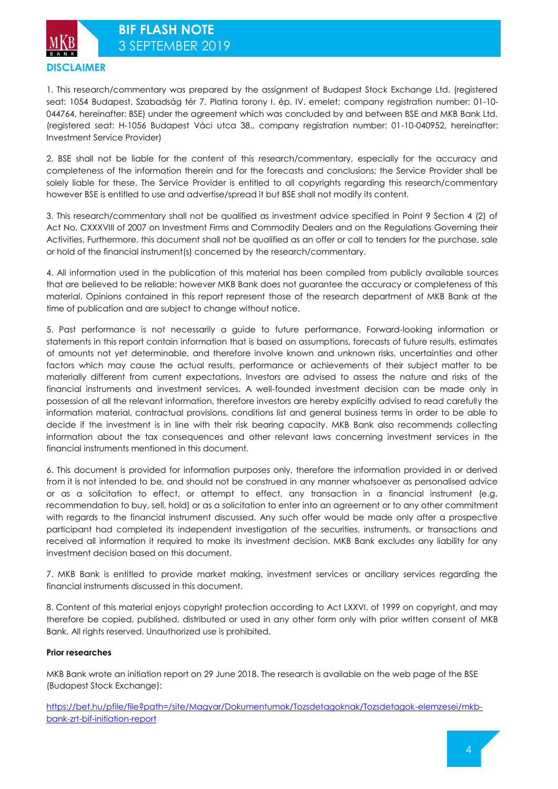**DISCLAIMER**

1. This research/commentary was prepared by the assignment of Budapest Stock Exchange Ltd. (registered seat: 1054 Budapest, Szabadság tér 7. Platina torony I. ép. IV. emelet; company registration number: 01-10- 044764, hereinafter: BSE) under the agreement which was concluded by and between BSE and MKB Bank Ltd. (registered seat: H-1056 Budapest Váci utca 38., company registration number: 01-10-040952, hereinafter: Investment Service Provider)

2. BSE shall not be liable for the content of this research/commentary, especially for the accuracy and completeness of the information therein and for the forecasts and conclusions; the Service Provider shall be solely liable for these. The Service Provider is entitled to all copyrights regarding this research/commentary however BSE is entitled to use and advertise/spread it but BSE shall not modify its content.

3. This research/commentary shall not be qualified as investment advice specified in Point 9 Section 4 (2) of Act No. CXXXVIII of 2007 on Investment Firms and Commodity Dealers and on the Regulations Governing their Activities. Furthermore, this document shall not be qualified as an offer or call to tenders for the purchase, sale or hold of the financial instrument(s) concerned by the research/commentary.

4. All information used in the publication of this material has been compiled from publicly available sources that are believed to be reliable; however MKB Bank does not guarantee the accuracy or completeness of this material. Opinions contained in this report represent those of the research department of MKB Bank at the time of publication and are subject to change without notice.

5. Past performance is not necessarily a guide to future performance. Forward-looking information or statements in this report contain information that is based on assumptions, forecasts of future results, estimates of amounts not yet determinable, and therefore involve known and unknown risks, uncertainties and other factors which may cause the actual results, performance or achievements of their subject matter to be materially different from current expectations. Investors are advised to assess the nature and risks of the financial instruments and investment services. A well-founded investment decision can be made only in possession of all the relevant information, therefore investors are hereby explicitly advised to read carefully the information material, contractual provisions, conditions list and general business terms in order to be able to decide if the investment is in line with their risk bearing capacity. MKB Bank also recommends collecting information about the tax consequences and other relevant laws concerning investment services in the financial instruments mentioned in this document.

6. This document is provided for information purposes only, therefore the information provided in or derived from it is not intended to be, and should not be construed in any manner whatsoever as personalised advice or as a solicitation to effect, or attempt to effect, any transaction in a financial instrument (e.g. recommendation to buy, sell, hold) or as a solicitation to enter into an agreement or to any other commitment with regards to the financial instrument discussed. Any such offer would be made only after a prospective participant had completed its independent investigation of the securities, instruments, or transactions and received all information it required to make its investment decision. MKB Bank excludes any liability for any investment decision based on this document.

7. MKB Bank is entitled to provide market making, investment services or ancillary services regarding the financial instruments discussed in this document.

8. Content of this material enjoys copyright protection according to Act LXXVI. of 1999 on copyright, and may therefore be copied, published, distributed or used in any other form only with prior written consent of MKB Bank. All rights reserved. Unauthorized use is prohibited.

#### **Prior researches**

MKB Bank wrote an initiation report on 29 June 2018. The research is available on the web page of the BSE (Budapest Stock Exchange):

[https://bet.hu/pfile/file?path=/site/Magyar/Dokumentumok/Tozsdetagoknak/Tozsdetagok-elemzesei/mkb](https://bet.hu/pfile/file?path=/site/Magyar/Dokumentumok/Tozsdetagoknak/Tozsdetagok-elemzesei/mkb-bank-zrt-bif-initiation-report)[bank-zrt-bif-initiation-report](https://bet.hu/pfile/file?path=/site/Magyar/Dokumentumok/Tozsdetagoknak/Tozsdetagok-elemzesei/mkb-bank-zrt-bif-initiation-report)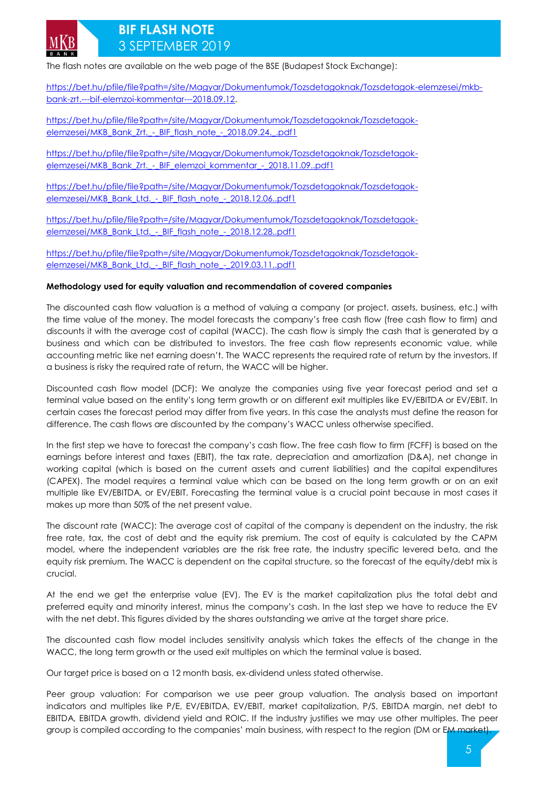

### **BIF FLASH NOTE**  3 SEPTEMBER 2019

The flash notes are available on the web page of the BSE (Budapest Stock Exchange):

[https://bet.hu/pfile/file?path=/site/Magyar/Dokumentumok/Tozsdetagoknak/Tozsdetagok-elemzesei/mkb](https://bet.hu/pfile/file?path=/site/Magyar/Dokumentumok/Tozsdetagoknak/Tozsdetagok-elemzesei/mkb-bank-zrt.---bif-elemzoi-kommentar---2018.09.12)[bank-zrt.---bif-elemzoi-kommentar---2018.09.12.](https://bet.hu/pfile/file?path=/site/Magyar/Dokumentumok/Tozsdetagoknak/Tozsdetagok-elemzesei/mkb-bank-zrt.---bif-elemzoi-kommentar---2018.09.12)

[https://bet.hu/pfile/file?path=/site/Magyar/Dokumentumok/Tozsdetagoknak/Tozsdetagok](https://bet.hu/pfile/file?path=/site/Magyar/Dokumentumok/Tozsdetagoknak/Tozsdetagok-elemzesei/MKB_Bank_Zrt._-_BIF_flash_note_-_2018.09.24._.pdf1)elemzesei/MKB\_Bank\_Zrt. - BIF\_flash\_note\_-\_2018.09.24.\_.pdf1

[https://bet.hu/pfile/file?path=/site/Magyar/Dokumentumok/Tozsdetagoknak/Tozsdetagok](https://bet.hu/pfile/file?path=/site/Magyar/Dokumentumok/Tozsdetagoknak/Tozsdetagok-elemzesei/MKB_Bank_Zrt._-_BIF_elemzoi_kommentar_-_2018.11.09..pdf1)[elemzesei/MKB\\_Bank\\_Zrt.\\_-\\_BIF\\_elemzoi\\_kommentar\\_-\\_2018.11.09..pdf1](https://bet.hu/pfile/file?path=/site/Magyar/Dokumentumok/Tozsdetagoknak/Tozsdetagok-elemzesei/MKB_Bank_Zrt._-_BIF_elemzoi_kommentar_-_2018.11.09..pdf1)

[https://bet.hu/pfile/file?path=/site/Magyar/Dokumentumok/Tozsdetagoknak/Tozsdetagok](https://bet.hu/pfile/file?path=/site/Magyar/Dokumentumok/Tozsdetagoknak/Tozsdetagok-elemzesei/MKB_Bank_Ltd._-_BIF_flash_note_-_2018.12.06..pdf1)elemzesei/MKB\_Bank\_Ltd. - BIF\_flash\_note\_-\_2018.12.06..pdf1

[https://bet.hu/pfile/file?path=/site/Magyar/Dokumentumok/Tozsdetagoknak/Tozsdetagok](https://bet.hu/pfile/file?path=/site/Magyar/Dokumentumok/Tozsdetagoknak/Tozsdetagok-elemzesei/MKB_Bank_Ltd._-_BIF_flash_note_-_2018.12.28..pdf1)elemzesei/MKB\_Bank\_Ltd. - BIF\_flash\_note\_-\_2018.12.28..pdf1

[https://bet.hu/pfile/file?path=/site/Magyar/Dokumentumok/Tozsdetagoknak/Tozsdetagok](https://bet.hu/pfile/file?path=/site/Magyar/Dokumentumok/Tozsdetagoknak/Tozsdetagok-elemzesei/MKB_Bank_Ltd._-_BIF_flash_note_-_2019.03.11..pdf1)elemzesei/MKB\_Bank\_Ltd. - BIF\_flash\_note\_-\_2019.03.11..pdf1

#### **Methodology used for equity valuation and recommendation of covered companies**

The discounted cash flow valuation is a method of valuing a company (or project, assets, business, etc.) with the time value of the money. The model forecasts the company's free cash flow (free cash flow to firm) and discounts it with the average cost of capital (WACC). The cash flow is simply the cash that is generated by a business and which can be distributed to investors. The free cash flow represents economic value, while accounting metric like net earning doesn't. The WACC represents the required rate of return by the investors. If a business is risky the required rate of return, the WACC will be higher.

Discounted cash flow model (DCF): We analyze the companies using five year forecast period and set a terminal value based on the entity's long term growth or on different exit multiples like EV/EBITDA or EV/EBIT. In certain cases the forecast period may differ from five years. In this case the analysts must define the reason for difference. The cash flows are discounted by the company's WACC unless otherwise specified.

In the first step we have to forecast the company's cash flow. The free cash flow to firm (FCFF) is based on the earnings before interest and taxes (EBIT), the tax rate, depreciation and amortization (D&A), net change in working capital (which is based on the current assets and current liabilities) and the capital expenditures (CAPEX). The model requires a terminal value which can be based on the long term growth or on an exit multiple like EV/EBITDA, or EV/EBIT. Forecasting the terminal value is a crucial point because in most cases it makes up more than 50% of the net present value.

The discount rate (WACC): The average cost of capital of the company is dependent on the industry, the risk free rate, tax, the cost of debt and the equity risk premium. The cost of equity is calculated by the CAPM model, where the independent variables are the risk free rate, the industry specific levered beta, and the equity risk premium. The WACC is dependent on the capital structure, so the forecast of the equity/debt mix is crucial.

At the end we get the enterprise value (EV). The EV is the market capitalization plus the total debt and preferred equity and minority interest, minus the company's cash. In the last step we have to reduce the EV with the net debt. This figures divided by the shares outstanding we arrive at the target share price.

The discounted cash flow model includes sensitivity analysis which takes the effects of the change in the WACC, the long term growth or the used exit multiples on which the terminal value is based.

Our target price is based on a 12 month basis, ex-dividend unless stated otherwise.

Peer group valuation: For comparison we use peer group valuation. The analysis based on important indicators and multiples like P/E, EV/EBITDA, EV/EBIT, market capitalization, P/S, EBITDA margin, net debt to EBITDA, EBITDA growth, dividend yield and ROIC. If the industry justifies we may use other multiples. The peer group is compiled according to the companies' main business, with respect to the region (DM or EM market).